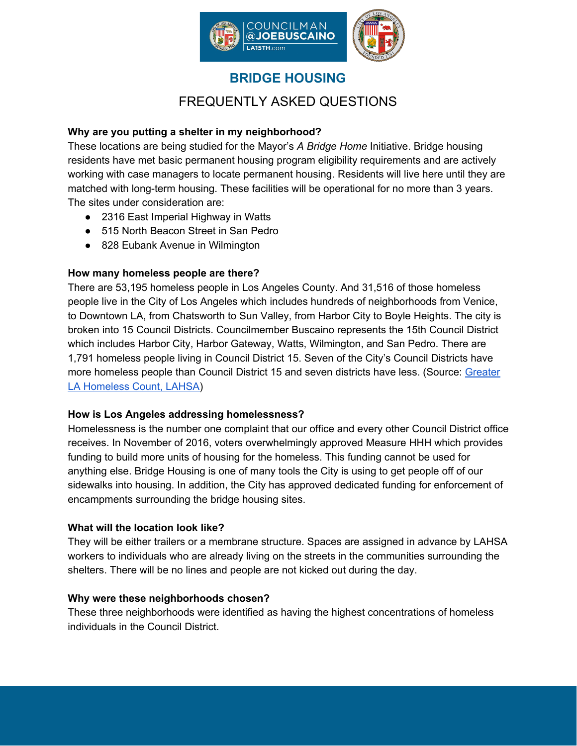

# **BRIDGE HOUSING**

# FREQUENTLY ASKED QUESTIONS

## **Why are you putting a shelter in my neighborhood?**

These locations are being studied for the Mayor's *A Bridge Home* Initiative. Bridge housing residents have met basic permanent housing program eligibility requirements and are actively working with case managers to locate permanent housing. Residents will live here until they are matched with long-term housing. These facilities will be operational for no more than 3 years. The sites under consideration are:

- 2316 East Imperial Highway in Watts
- 515 North Beacon Street in San Pedro
- 828 Eubank Avenue in Wilmington

## **How many homeless people are there?**

There are 53,195 homeless people in Los Angeles County. And 31,516 of those homeless people live in the City of Los Angeles which includes hundreds of neighborhoods from Venice, to Downtown LA, from Chatsworth to Sun Valley, from Harbor City to Boyle Heights. The city is broken into 15 Council Districts. Councilmember Buscaino represents the 15th Council District which includes Harbor City, Harbor Gateway, Watts, Wilmington, and San Pedro. There are 1,791 homeless people living in Council District 15. Seven of the City's Council Districts have more homeless people than Council District 15 and seven districts have less. (Source: [Greater](https://www.lahsa.org/dashboards?id=12-count-by-city-council-district-cd-) LA [Homeless](https://www.lahsa.org/dashboards?id=12-count-by-city-council-district-cd-) Count, LAHSA)

## **How is Los Angeles addressing homelessness?**

Homelessness is the number one complaint that our office and every other Council District office receives. In November of 2016, voters overwhelmingly approved Measure HHH which provides funding to build more units of housing for the homeless. This funding cannot be used for anything else. Bridge Housing is one of many tools the City is using to get people off of our sidewalks into housing. In addition, the City has approved dedicated funding for enforcement of encampments surrounding the bridge housing sites.

## **What will the location look like?**

They will be either trailers or a membrane structure. Spaces are assigned in advance by LAHSA workers to individuals who are already living on the streets in the communities surrounding the shelters. There will be no lines and people are not kicked out during the day.

## **Why were these neighborhoods chosen?**

These three neighborhoods were identified as having the highest concentrations of homeless individuals in the Council District.